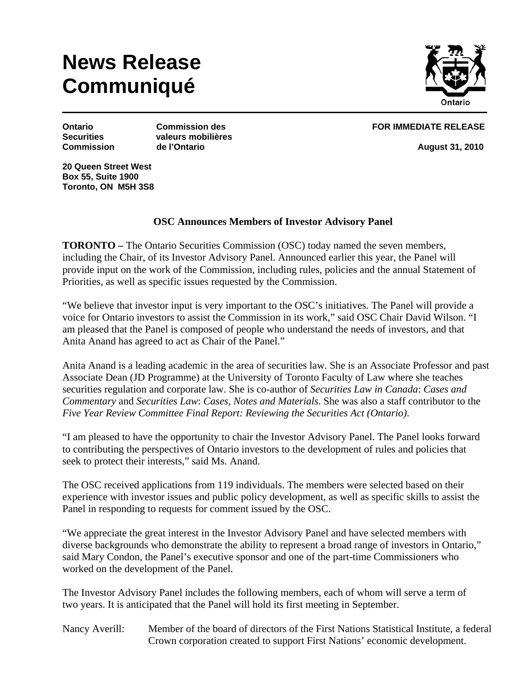## **News Release Communiqué**



**Securities valeurs mobilières Commission de l'Ontario August 31, 2010** 

**Ontario Commission des FOR IMMEDIATE RELEASE** 

**20 Queen Street West Box 55, Suite 1900 Toronto, ON M5H 3S8** 

## **OSC Announces Members of Investor Advisory Panel**

**TORONTO –** The Ontario Securities Commission (OSC) today named the seven members, including the Chair, of its Investor Advisory Panel. Announced earlier this year, the Panel will provide input on the work of the Commission, including rules, policies and the annual Statement of Priorities, as well as specific issues requested by the Commission.

"We believe that investor input is very important to the OSC's initiatives. The Panel will provide a voice for Ontario investors to assist the Commission in its work," said OSC Chair David Wilson. "I am pleased that the Panel is composed of people who understand the needs of investors, and that Anita Anand has agreed to act as Chair of the Panel."

Anita Anand is a leading academic in the area of securities law. She is an Associate Professor and past Associate Dean (JD Programme) at the University of Toronto Faculty of Law where she teaches securities regulation and corporate law. She is co-author of *Securities Law in Canada*: *Cases and Commentary* and *Securities Law*: *Cases, Notes and Materials*. She was also a staff contributor to the *Five Year Review Committee Final Report: Reviewing the Securities Act (Ontario)*.

"I am pleased to have the opportunity to chair the Investor Advisory Panel. The Panel looks forward to contributing the perspectives of Ontario investors to the development of rules and policies that seek to protect their interests," said Ms. Anand.

The OSC received applications from 119 individuals. The members were selected based on their experience with investor issues and public policy development, as well as specific skills to assist the Panel in responding to requests for comment issued by the OSC.

"We appreciate the great interest in the Investor Advisory Panel and have selected members with diverse backgrounds who demonstrate the ability to represent a broad range of investors in Ontario," said Mary Condon, the Panel's executive sponsor and one of the part-time Commissioners who worked on the development of the Panel.

The Investor Advisory Panel includes the following members, each of whom will serve a term of two years. It is anticipated that the Panel will hold its first meeting in September.

Nancy Averill: Member of the board of directors of the First Nations Statistical Institute, a federal Crown corporation created to support First Nations' economic development.